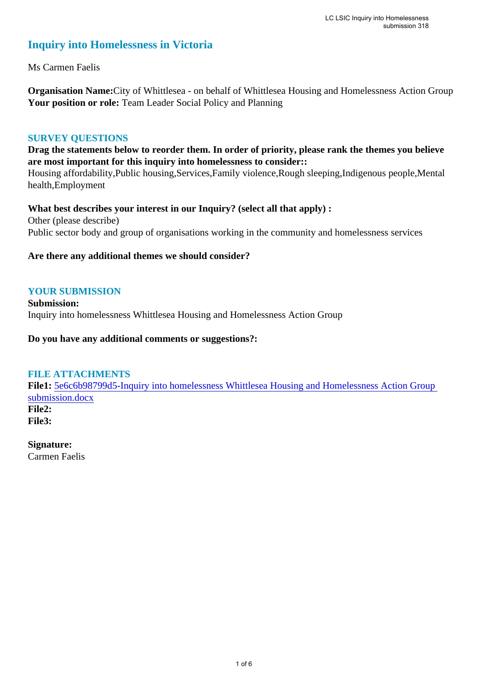## **Inquiry into Homelessness in Victoria**

Ms Carmen Faelis

**Organisation Name:**City of Whittlesea - on behalf of Whittlesea Housing and Homelessness Action Group Your position or role: Team Leader Social Policy and Planning

### **SURVEY QUESTIONS**

**Drag the statements below to reorder them. In order of priority, please rank the themes you believe are most important for this inquiry into homelessness to consider::** 

Housing affordability,Public housing,Services,Family violence,Rough sleeping,Indigenous people,Mental health,Employment

**What best describes your interest in our Inquiry? (select all that apply) :**  Other (please describe) Public sector body and group of organisations working in the community and homelessness services

### **Are there any additional themes we should consider?**

### **YOUR SUBMISSION**

**Submission:**  Inquiry into homelessness Whittlesea Housing and Homelessness Action Group

#### **Do you have any additional comments or suggestions?:**

### **FILE ATTACHMENTS**

**File1:** 5e6c6b98799d5-Inquiry into homelessness Whittlesea Housing and Homelessness Action Group submission.docx **File2: File3:** 

**Signature:**

Carmen Faelis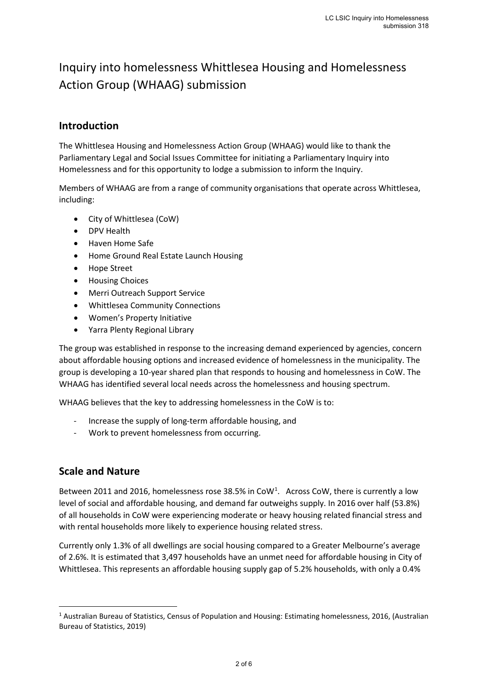# Inquiry into homelessness Whittlesea Housing and Homelessness Action Group (WHAAG) submission

## **Introduction**

The Whittlesea Housing and Homelessness Action Group (WHAAG) would like to thank the Parliamentary Legal and Social Issues Committee for initiating a Parliamentary Inquiry into Homelessness and for this opportunity to lodge a submission to inform the Inquiry.

Members of WHAAG are from a range of community organisations that operate across Whittlesea, including:

- City of Whittlesea (CoW)
- DPV Health
- Haven Home Safe
- Home Ground Real Estate Launch Housing
- Hope Street
- Housing Choices
- Merri Outreach Support Service
- Whittlesea Community Connections
- Women's Property Initiative
- Yarra Plenty Regional Library

The group was established in response to the increasing demand experienced by agencies, concern about affordable housing options and increased evidence of homelessness in the municipality. The group is developing a 10-year shared plan that responds to housing and homelessness in CoW. The WHAAG has identified several local needs across the homelessness and housing spectrum.

WHAAG believes that the key to addressing homelessness in the CoW is to:

- Increase the supply of long-term affordable housing, and
- Work to prevent homelessness from occurring.

### **Scale and Nature**

Between 2011 and 2016, homelessness rose 38.5% in CoW<sup>1</sup>. Across CoW, there is currently a low level of social and affordable housing, and demand far outweighs supply. In 2016 over half (53.8%) of all households in CoW were experiencing moderate or heavy housing related financial stress and with rental households more likely to experience housing related stress.

Currently only 1.3% of all dwellings are social housing compared to a Greater Melbourne's average of 2.6%. It is estimated that 3,497 households have an unmet need for affordable housing in City of Whittlesea. This represents an affordable housing supply gap of 5.2% households, with only a 0.4%

<sup>1</sup> Australian Bureau of Statistics, Census of Population and Housing: Estimating homelessness, 2016, (Australian Bureau of Statistics, 2019)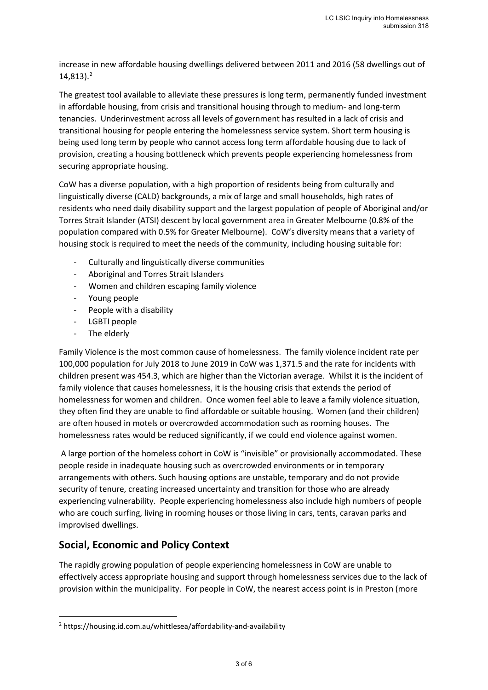increase in new affordable housing dwellings delivered between 2011 and 2016 (58 dwellings out of  $14,813$ ).<sup>2</sup>

The greatest tool available to alleviate these pressures is long term, permanently funded investment in affordable housing, from crisis and transitional housing through to medium- and long-term tenancies. Underinvestment across all levels of government has resulted in a lack of crisis and transitional housing for people entering the homelessness service system. Short term housing is being used long term by people who cannot access long term affordable housing due to lack of provision, creating a housing bottleneck which prevents people experiencing homelessness from securing appropriate housing.

CoW has a diverse population, with a high proportion of residents being from culturally and linguistically diverse (CALD) backgrounds, a mix of large and small households, high rates of residents who need daily disability support and the largest population of people of Aboriginal and/or Torres Strait Islander (ATSI) descent by local government area in Greater Melbourne (0.8% of the population compared with 0.5% for Greater Melbourne). CoW's diversity means that a variety of housing stock is required to meet the needs of the community, including housing suitable for:

- Culturally and linguistically diverse communities
- Aboriginal and Torres Strait Islanders
- Women and children escaping family violence
- Young people
- People with a disability
- LGBTI people
- The elderly

 $\overline{a}$ 

Family Violence is the most common cause of homelessness. The family violence incident rate per 100,000 population for July 2018 to June 2019 in CoW was 1,371.5 and the rate for incidents with children present was 454.3, which are higher than the Victorian average. Whilst it is the incident of family violence that causes homelessness, it is the housing crisis that extends the period of homelessness for women and children. Once women feel able to leave a family violence situation, they often find they are unable to find affordable or suitable housing. Women (and their children) are often housed in motels or overcrowded accommodation such as rooming houses. The homelessness rates would be reduced significantly, if we could end violence against women.

A large portion of the homeless cohort in CoW is "invisible" or provisionally accommodated. These people reside in inadequate housing such as overcrowded environments or in temporary arrangements with others. Such housing options are unstable, temporary and do not provide security of tenure, creating increased uncertainty and transition for those who are already experiencing vulnerability. People experiencing homelessness also include high numbers of people who are couch surfing, living in rooming houses or those living in cars, tents, caravan parks and improvised dwellings.

## **Social, Economic and Policy Context**

The rapidly growing population of people experiencing homelessness in CoW are unable to effectively access appropriate housing and support through homelessness services due to the lack of provision within the municipality. For people in CoW, the nearest access point is in Preston (more

<sup>2</sup> https://housing.id.com.au/whittlesea/affordability-and-availability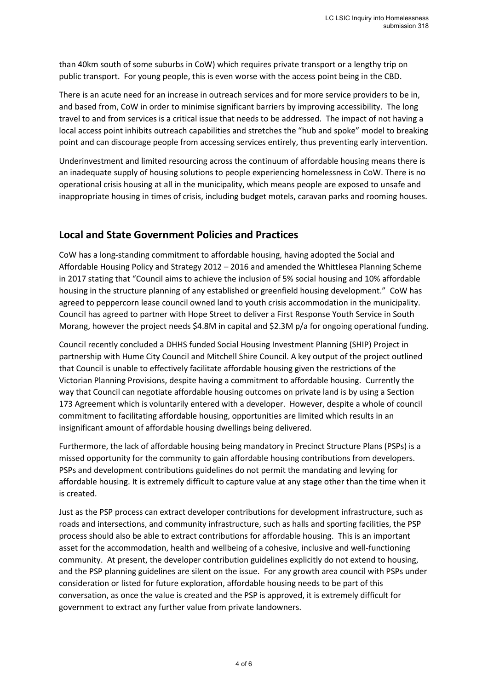than 40km south of some suburbs in CoW) which requires private transport or a lengthy trip on public transport. For young people, this is even worse with the access point being in the CBD.

There is an acute need for an increase in outreach services and for more service providers to be in, and based from, CoW in order to minimise significant barriers by improving accessibility. The long travel to and from services is a critical issue that needs to be addressed. The impact of not having a local access point inhibits outreach capabilities and stretches the "hub and spoke" model to breaking point and can discourage people from accessing services entirely, thus preventing early intervention.

Underinvestment and limited resourcing across the continuum of affordable housing means there is an inadequate supply of housing solutions to people experiencing homelessness in CoW. There is no operational crisis housing at all in the municipality, which means people are exposed to unsafe and inappropriate housing in times of crisis, including budget motels, caravan parks and rooming houses.

## **Local and State Government Policies and Practices**

CoW has a long-standing commitment to affordable housing, having adopted the Social and Affordable Housing Policy and Strategy 2012 – 2016 and amended the Whittlesea Planning Scheme in 2017 stating that "Council aims to achieve the inclusion of 5% social housing and 10% affordable housing in the structure planning of any established or greenfield housing development." CoW has agreed to peppercorn lease council owned land to youth crisis accommodation in the municipality. Council has agreed to partner with Hope Street to deliver a First Response Youth Service in South Morang, however the project needs \$4.8M in capital and \$2.3M p/a for ongoing operational funding.

Council recently concluded a DHHS funded Social Housing Investment Planning (SHIP) Project in partnership with Hume City Council and Mitchell Shire Council. A key output of the project outlined that Council is unable to effectively facilitate affordable housing given the restrictions of the Victorian Planning Provisions, despite having a commitment to affordable housing. Currently the way that Council can negotiate affordable housing outcomes on private land is by using a Section 173 Agreement which is voluntarily entered with a developer. However, despite a whole of council commitment to facilitating affordable housing, opportunities are limited which results in an insignificant amount of affordable housing dwellings being delivered.

Furthermore, the lack of affordable housing being mandatory in Precinct Structure Plans (PSPs) is a missed opportunity for the community to gain affordable housing contributions from developers. PSPs and development contributions guidelines do not permit the mandating and levying for affordable housing. It is extremely difficult to capture value at any stage other than the time when it is created.

Just as the PSP process can extract developer contributions for development infrastructure, such as roads and intersections, and community infrastructure, such as halls and sporting facilities, the PSP process should also be able to extract contributions for affordable housing. This is an important asset for the accommodation, health and wellbeing of a cohesive, inclusive and well-functioning community. At present, the developer contribution guidelines explicitly do not extend to housing, and the PSP planning guidelines are silent on the issue. For any growth area council with PSPs under consideration or listed for future exploration, affordable housing needs to be part of this conversation, as once the value is created and the PSP is approved, it is extremely difficult for government to extract any further value from private landowners.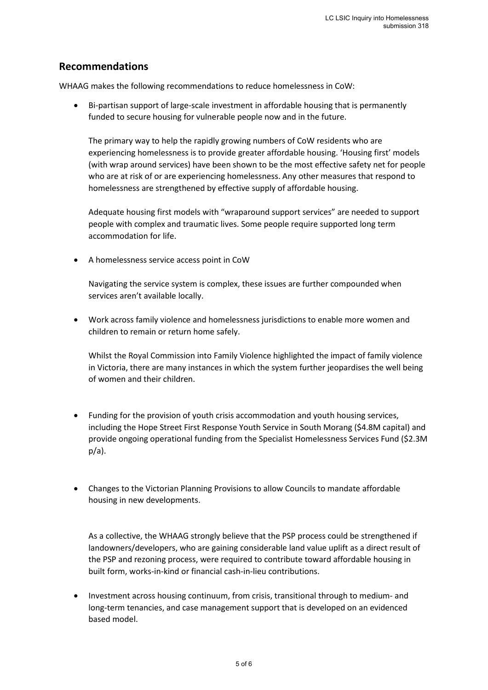## **Recommendations**

WHAAG makes the following recommendations to reduce homelessness in CoW:

• Bi-partisan support of large-scale investment in affordable housing that is permanently funded to secure housing for vulnerable people now and in the future.

The primary way to help the rapidly growing numbers of CoW residents who are experiencing homelessness is to provide greater affordable housing. 'Housing first' models (with wrap around services) have been shown to be the most effective safety net for people who are at risk of or are experiencing homelessness. Any other measures that respond to homelessness are strengthened by effective supply of affordable housing.

Adequate housing first models with "wraparound support services" are needed to support people with complex and traumatic lives. Some people require supported long term accommodation for life.

• A homelessness service access point in CoW

Navigating the service system is complex, these issues are further compounded when services aren't available locally.

• Work across family violence and homelessness jurisdictions to enable more women and children to remain or return home safely.

Whilst the Royal Commission into Family Violence highlighted the impact of family violence in Victoria, there are many instances in which the system further jeopardises the well being of women and their children.

- Funding for the provision of youth crisis accommodation and youth housing services, including the Hope Street First Response Youth Service in South Morang (\$4.8M capital) and provide ongoing operational funding from the Specialist Homelessness Services Fund (\$2.3M p/a).
- Changes to the Victorian Planning Provisions to allow Councils to mandate affordable housing in new developments.

As a collective, the WHAAG strongly believe that the PSP process could be strengthened if landowners/developers, who are gaining considerable land value uplift as a direct result of the PSP and rezoning process, were required to contribute toward affordable housing in built form, works-in-kind or financial cash-in-lieu contributions.

• Investment across housing continuum, from crisis, transitional through to medium- and long-term tenancies, and case management support that is developed on an evidenced based model.